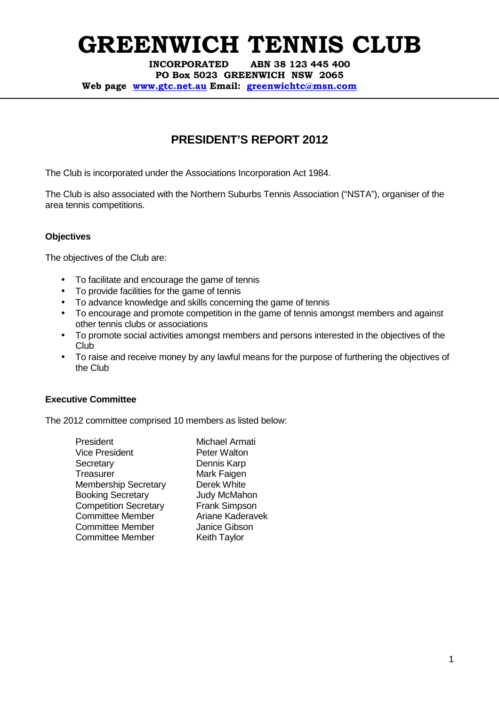**INCORPORATED ABN 38 123 445 400** 

**PO Box 5023 GREENWICH NSW 2065** 

**Web page www.gtc.net.au Email: greenwichtc@msn.com**

### **PRESIDENT'S REPORT 2012**

The Club is incorporated under the Associations Incorporation Act 1984.

The Club is also associated with the Northern Suburbs Tennis Association ("NSTA"), organiser of the area tennis competitions.

#### **Objectives**

The objectives of the Club are:

- To facilitate and encourage the game of tennis
- To provide facilities for the game of tennis
- To advance knowledge and skills concerning the game of tennis
- To encourage and promote competition in the game of tennis amongst members and against other tennis clubs or associations
- To promote social activities amongst members and persons interested in the objectives of the Club
- To raise and receive money by any lawful means for the purpose of furthering the objectives of the Club

#### **Executive Committee**

The 2012 committee comprised 10 members as listed below:

| President                    |
|------------------------------|
| Vice President               |
| Secretary                    |
| Treasurer                    |
| <b>Membership Secretary</b>  |
| <b>Booking Secretary</b>     |
| <b>Competition Secretary</b> |
| <b>Committee Member</b>      |
| <b>Committee Member</b>      |
| <b>Committee Member</b>      |

Michael Armati Peter Walton Dennis Karp Mark Faigen Derek White Judy McMahon **Frank Simpson** Ariane Kaderavek Janice Gibson Keith Taylor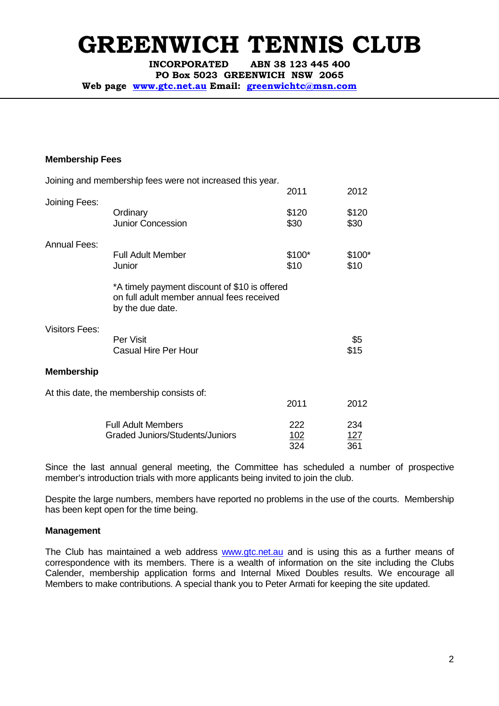**INCORPORATED ABN 38 123 445 400** 

**PO Box 5023 GREENWICH NSW 2065** 

**Web page www.gtc.net.au Email: greenwichtc@msn.com**

#### **Membership Fees**

|                       | Joining and membership fees were not increased this year.                                                      |                   |                   |
|-----------------------|----------------------------------------------------------------------------------------------------------------|-------------------|-------------------|
|                       |                                                                                                                | 2011              | 2012              |
| Joining Fees:         | Ordinary<br><b>Junior Concession</b>                                                                           | \$120<br>\$30     | \$120<br>\$30     |
| <b>Annual Fees:</b>   |                                                                                                                |                   |                   |
|                       | <b>Full Adult Member</b><br>Junior                                                                             | $$100*$<br>\$10   | \$100*<br>\$10    |
|                       | *A timely payment discount of \$10 is offered<br>on full adult member annual fees received<br>by the due date. |                   |                   |
| <b>Visitors Fees:</b> | Per Visit<br><b>Casual Hire Per Hour</b>                                                                       |                   | \$5<br>\$15       |
| <b>Membership</b>     |                                                                                                                |                   |                   |
|                       | At this date, the membership consists of:                                                                      |                   |                   |
|                       |                                                                                                                | 2011              | 2012              |
|                       | <b>Full Adult Members</b><br>Graded Juniors/Students/Juniors                                                   | 222<br>102<br>324 | 234<br>127<br>361 |

Since the last annual general meeting, the Committee has scheduled a number of prospective member's introduction trials with more applicants being invited to join the club.

Despite the large numbers, members have reported no problems in the use of the courts. Membership has been kept open for the time being.

#### **Management**

The Club has maintained a web address www.gtc.net.au and is using this as a further means of correspondence with its members. There is a wealth of information on the site including the Clubs Calender, membership application forms and Internal Mixed Doubles results. We encourage all Members to make contributions. A special thank you to Peter Armati for keeping the site updated.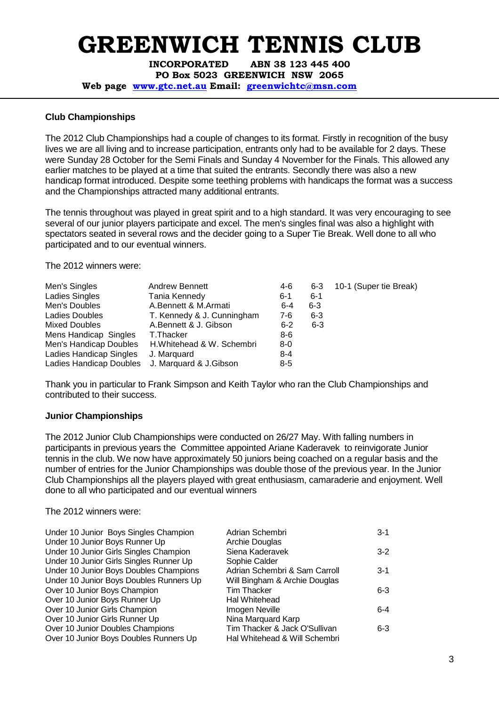**INCORPORATED ABN 38 123 445 400** 

**PO Box 5023 GREENWICH NSW 2065** 

**Web page www.gtc.net.au Email: greenwichtc@msn.com**

#### **Club Championships**

The 2012 Club Championships had a couple of changes to its format. Firstly in recognition of the busy lives we are all living and to increase participation, entrants only had to be available for 2 days. These were Sunday 28 October for the Semi Finals and Sunday 4 November for the Finals. This allowed any earlier matches to be played at a time that suited the entrants. Secondly there was also a new handicap format introduced. Despite some teething problems with handicaps the format was a success and the Championships attracted many additional entrants.

The tennis throughout was played in great spirit and to a high standard. It was very encouraging to see several of our junior players participate and excel. The men's singles final was also a highlight with spectators seated in several rows and the decider going to a Super Tie Break. Well done to all who participated and to our eventual winners.

The 2012 winners were:

| Men's Singles           | <b>Andrew Bennett</b>      | 4-6     | 6-3     | 10-1 (Super tie Break) |
|-------------------------|----------------------------|---------|---------|------------------------|
| Ladies Singles          | Tania Kennedy              | $6 - 1$ | $6 - 1$ |                        |
| Men's Doubles           | A.Bennett & M.Armati       | $6 - 4$ | $6 - 3$ |                        |
| Ladies Doubles          | T. Kennedy & J. Cunningham | 7-6     | $6 - 3$ |                        |
| <b>Mixed Doubles</b>    | A.Bennett & J. Gibson      | $6 - 2$ | $6 - 3$ |                        |
| Mens Handicap Singles   | T.Thacker                  | 8-6     |         |                        |
| Men's Handicap Doubles  | H.Whitehead & W. Schembri  | 8-0     |         |                        |
| Ladies Handicap Singles | J. Marguard                | $8 - 4$ |         |                        |
| Ladies Handicap Doubles | J. Marquard & J. Gibson    | $8 - 5$ |         |                        |

Thank you in particular to Frank Simpson and Keith Taylor who ran the Club Championships and contributed to their success.

#### **Junior Championships**

The 2012 Junior Club Championships were conducted on 26/27 May. With falling numbers in participants in previous years the Committee appointed Ariane Kaderavek to reinvigorate Junior tennis in the club. We now have approximately 50 juniors being coached on a regular basis and the number of entries for the Junior Championships was double those of the previous year. In the Junior Club Championships all the players played with great enthusiasm, camaraderie and enjoyment. Well done to all who participated and our eventual winners

The 2012 winners were:

| Under 10 Junior Boys Singles Champion   | Adrian Schembri               | $3 - 1$ |
|-----------------------------------------|-------------------------------|---------|
| Under 10 Junior Boys Runner Up          | Archie Douglas                |         |
| Under 10 Junior Girls Singles Champion  | Siena Kaderavek               | $3-2$   |
| Under 10 Junior Girls Singles Runner Up | Sophie Calder                 |         |
| Under 10 Junior Boys Doubles Champions  | Adrian Schembri & Sam Carroll | $3 - 1$ |
| Under 10 Junior Boys Doubles Runners Up | Will Bingham & Archie Douglas |         |
| Over 10 Junior Boys Champion            | <b>Tim Thacker</b>            | $6 - 3$ |
| Over 10 Junior Boys Runner Up           | Hal Whitehead                 |         |
| Over 10 Junior Girls Champion           | Imogen Neville                | 6-4     |
| Over 10 Junior Girls Runner Up          | Nina Marquard Karp            |         |
| Over 10 Junior Doubles Champions        | Tim Thacker & Jack O'Sullivan | $6 - 3$ |
| Over 10 Junior Boys Doubles Runners Up  | Hal Whitehead & Will Schembri |         |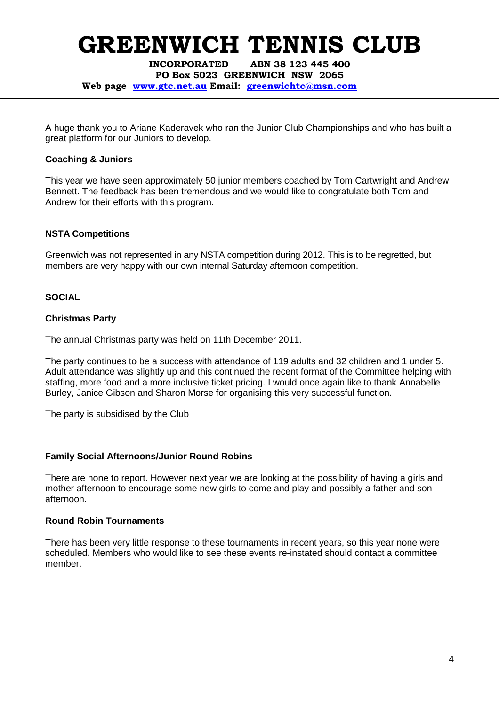**INCORPORATED ABN 38 123 445 400** 

**PO Box 5023 GREENWICH NSW 2065** 

**Web page www.gtc.net.au Email: greenwichtc@msn.com**

A huge thank you to Ariane Kaderavek who ran the Junior Club Championships and who has built a great platform for our Juniors to develop.

#### **Coaching & Juniors**

This year we have seen approximately 50 junior members coached by Tom Cartwright and Andrew Bennett. The feedback has been tremendous and we would like to congratulate both Tom and Andrew for their efforts with this program.

#### **NSTA Competitions**

Greenwich was not represented in any NSTA competition during 2012. This is to be regretted, but members are very happy with our own internal Saturday afternoon competition.

#### **SOCIAL**

#### **Christmas Party**

The annual Christmas party was held on 11th December 2011.

The party continues to be a success with attendance of 119 adults and 32 children and 1 under 5. Adult attendance was slightly up and this continued the recent format of the Committee helping with staffing, more food and a more inclusive ticket pricing. I would once again like to thank Annabelle Burley, Janice Gibson and Sharon Morse for organising this very successful function.

The party is subsidised by the Club

#### **Family Social Afternoons/Junior Round Robins**

There are none to report. However next year we are looking at the possibility of having a girls and mother afternoon to encourage some new girls to come and play and possibly a father and son afternoon.

#### **Round Robin Tournaments**

There has been very little response to these tournaments in recent years, so this year none were scheduled. Members who would like to see these events re-instated should contact a committee member.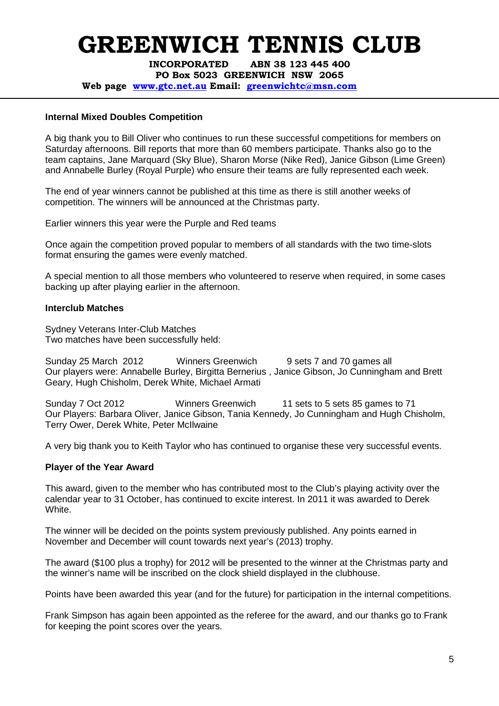**INCORPORATED ABN 38 123 445 400** 

**PO Box 5023 GREENWICH NSW 2065** 

**Web page www.gtc.net.au Email: greenwichtc@msn.com**

#### **Internal Mixed Doubles Competition**

A big thank you to Bill Oliver who continues to run these successful competitions for members on Saturday afternoons. Bill reports that more than 60 members participate. Thanks also go to the team captains, Jane Marquard (Sky Blue), Sharon Morse (Nike Red), Janice Gibson (Lime Green) and Annabelle Burley (Royal Purple) who ensure their teams are fully represented each week.

The end of year winners cannot be published at this time as there is still another weeks of competition. The winners will be announced at the Christmas party.

Earlier winners this year were the Purple and Red teams

Once again the competition proved popular to members of all standards with the two time-slots format ensuring the games were evenly matched.

A special mention to all those members who volunteered to reserve when required, in some cases backing up after playing earlier in the afternoon.

#### **Interclub Matches**

Sydney Veterans Inter-Club Matches Two matches have been successfully held:

Sunday 25 March 2012 Winners Greenwich 9 sets 7 and 70 games all Our players were: Annabelle Burley, Birgitta Bernerius , Janice Gibson, Jo Cunningham and Brett Geary, Hugh Chisholm, Derek White, Michael Armati

Sunday 7 Oct 2012 Winners Greenwich 11 sets to 5 sets 85 games to 71 Our Players: Barbara Oliver, Janice Gibson, Tania Kennedy, Jo Cunningham and Hugh Chisholm, Terry Ower, Derek White, Peter McIlwaine

A very big thank you to Keith Taylor who has continued to organise these very successful events.

#### **Player of the Year Award**

This award, given to the member who has contributed most to the Club's playing activity over the calendar year to 31 October, has continued to excite interest. In 2011 it was awarded to Derek White.

The winner will be decided on the points system previously published. Any points earned in November and December will count towards next year's (2013) trophy.

The award (\$100 plus a trophy) for 2012 will be presented to the winner at the Christmas party and the winner's name will be inscribed on the clock shield displayed in the clubhouse.

Points have been awarded this year (and for the future) for participation in the internal competitions.

Frank Simpson has again been appointed as the referee for the award, and our thanks go to Frank for keeping the point scores over the years.